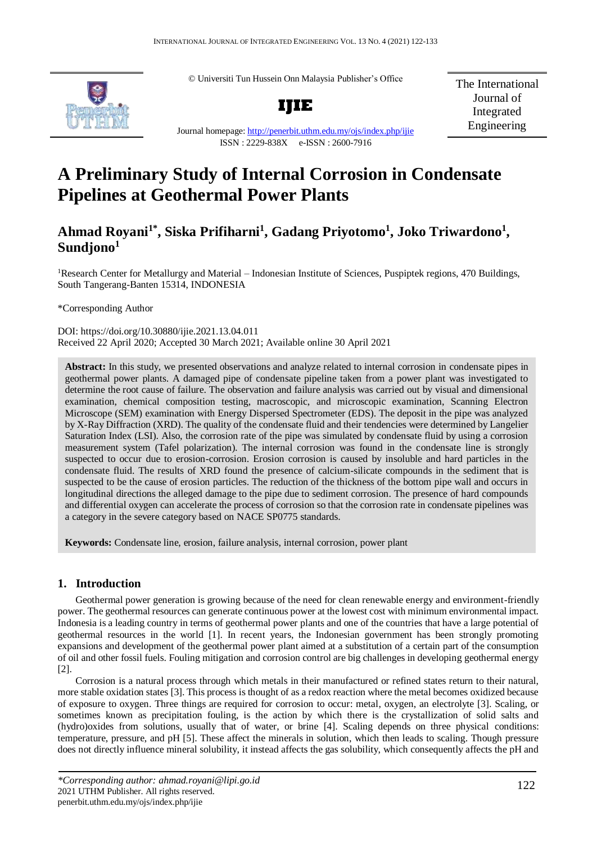© Universiti Tun Hussein Onn Malaysia Publisher's Office



**IJIE**

The International Journal of Integrated Engineering

Journal homepage:<http://penerbit.uthm.edu.my/ojs/index.php/ijie> ISSN : 2229-838X e-ISSN : 2600-7916

# **A Preliminary Study of Internal Corrosion in Condensate Pipelines at Geothermal Power Plants**

# **Ahmad Royani1\* , Siska Prifiharni<sup>1</sup> , Gadang Priyotomo<sup>1</sup> , Joko Triwardono<sup>1</sup> , Sundjono<sup>1</sup>**

<sup>1</sup>Research Center for Metallurgy and Material – Indonesian Institute of Sciences, Puspiptek regions, 470 Buildings, South Tangerang-Banten 15314, INDONESIA

\*Corresponding Author

DOI: https://doi.org/10.30880/ijie.2021.13.04.011 Received 22 April 2020; Accepted 30 March 2021; Available online 30 April 2021

**Abstract:** In this study, we presented observations and analyze related to internal corrosion in condensate pipes in geothermal power plants. A damaged pipe of condensate pipeline taken from a power plant was investigated to determine the root cause of failure. The observation and failure analysis was carried out by visual and dimensional examination, chemical composition testing, macroscopic, and microscopic examination, Scanning Electron Microscope (SEM) examination with Energy Dispersed Spectrometer (EDS). The deposit in the pipe was analyzed by X-Ray Diffraction (XRD). The quality of the condensate fluid and their tendencies were determined by Langelier Saturation Index (LSI). Also, the corrosion rate of the pipe was simulated by condensate fluid by using a corrosion measurement system (Tafel polarization). The internal corrosion was found in the condensate line is strongly suspected to occur due to erosion-corrosion. Erosion corrosion is caused by insoluble and hard particles in the condensate fluid. The results of XRD found the presence of calcium-silicate compounds in the sediment that is suspected to be the cause of erosion particles. The reduction of the thickness of the bottom pipe wall and occurs in longitudinal directions the alleged damage to the pipe due to sediment corrosion. The presence of hard compounds and differential oxygen can accelerate the process of corrosion so that the corrosion rate in condensate pipelines was a category in the severe category based on NACE SP0775 standards.

**Keywords:** Condensate line, erosion, failure analysis, internal corrosion, power plant

# **1. Introduction**

Geothermal power generation is growing because of the need for clean renewable energy and environment-friendly power. The geothermal resources can generate continuous power at the lowest cost with minimum environmental impact. Indonesia is a leading country in terms of geothermal power plants and one of the countries that have a large potential of geothermal resources in the world [1]. In recent years, the Indonesian government has been strongly promoting expansions and development of the geothermal power plant aimed at a substitution of a certain part of the consumption of oil and other fossil fuels. Fouling mitigation and corrosion control are big challenges in developing geothermal energy [2].

Corrosion is a natural process through which metals in their manufactured or refined states return to their natural, more stable oxidation states [3]. This process is thought of as a redox reaction where the metal becomes oxidized because of exposure to oxygen. Three things are required for corrosion to occur: metal, oxygen, an electrolyte [3]. Scaling, or sometimes known as precipitation fouling, is the action by which there is the crystallization of solid salts and (hydro)oxides from solutions, usually that of water, or brine [4]. Scaling depends on three physical conditions: temperature, pressure, and pH [5]. These affect the minerals in solution, which then leads to scaling. Though pressure does not directly influence mineral solubility, it instead affects the gas solubility, which consequently affects the pH and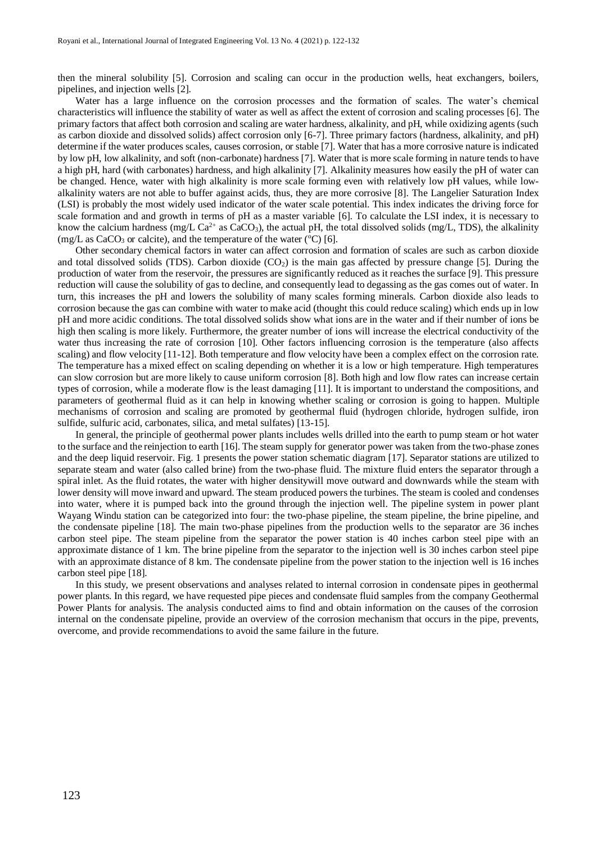then the mineral solubility [5]. Corrosion and scaling can occur in the production wells, heat exchangers, boilers, pipelines, and injection wells [2].

Water has a large influence on the corrosion processes and the formation of scales. The water's chemical characteristics will influence the stability of water as well as affect the extent of corrosion and scaling processes [6]. The primary factors that affect both corrosion and scaling are water hardness, alkalinity, and pH, while oxidizing agents (such as carbon dioxide and dissolved solids) affect corrosion only [6-7]. Three primary factors (hardness, alkalinity, and pH) determine if the water produces scales, causes corrosion, or stable [7]. Water that has a more corrosive nature is indicated by low pH, low alkalinity, and soft (non-carbonate) hardness [7]. Water that is more scale forming in nature tends to have a high pH, hard (with carbonates) hardness, and high alkalinity [7]. Alkalinity measures how easily the pH of water can be changed. Hence, water with high alkalinity is more scale forming even with relatively low pH values, while lowalkalinity waters are not able to buffer against acids, thus, they are more corrosive [8]. The Langelier Saturation Index (LSI) is probably the most widely used indicator of the water scale potential. This index indicates the driving force for scale formation and and growth in terms of pH as a master variable [6]. To calculate the LSI index, it is necessary to know the calcium hardness (mg/L Ca<sup>2+</sup> as CaCO<sub>3</sub>), the actual pH, the total dissolved solids (mg/L, TDS), the alkalinity (mg/L as CaCO<sub>3</sub> or calcite), and the temperature of the water ( $\degree$ C) [6].

Other secondary chemical factors in water can affect corrosion and formation of scales are such as carbon dioxide and total dissolved solids (TDS). Carbon dioxide  $(CO<sub>2</sub>)$  is the main gas affected by pressure change [5]. During the production of water from the reservoir, the pressures are significantly reduced as it reaches the surface [9]. This pressure reduction will cause the solubility of gas to decline, and consequently lead to degassing as the gas comes out of water. In turn, this increases the pH and lowers the solubility of many scales forming minerals. Carbon dioxide also leads to corrosion because the gas can combine with water to make acid (thought this could reduce scaling) which ends up in low pH and more acidic conditions. The total dissolved solids show what ions are in the water and if their number of ions be high then scaling is more likely. Furthermore, the greater number of ions will increase the electrical conductivity of the water thus increasing the rate of corrosion [10]. Other factors influencing corrosion is the temperature (also affects scaling) and flow velocity [11-12]. Both temperature and flow velocity have been a complex effect on the corrosion rate. The temperature has a mixed effect on scaling depending on whether it is a low or high temperature. High temperatures can slow corrosion but are more likely to cause uniform corrosion [8]. Both high and low flow rates can increase certain types of corrosion, while a moderate flow is the least damaging [11]. It is important to understand the compositions, and parameters of geothermal fluid as it can help in knowing whether scaling or corrosion is going to happen. Multiple mechanisms of corrosion and scaling are promoted by geothermal fluid (hydrogen chloride, hydrogen sulfide, iron sulfide, sulfuric acid, carbonates, silica, and metal sulfates) [13-15].

In general, the principle of geothermal power plants includes wells drilled into the earth to pump steam or hot water to the surface and the reinjection to earth [16]. The steam supply for generator power was taken from the two-phase zones and the deep liquid reservoir. Fig. 1 presents the power station schematic diagram [17]. Separator stations are utilized to separate steam and water (also called brine) from the two-phase fluid. The mixture fluid enters the separator through a spiral inlet. As the fluid rotates, the water with higher densitywill move outward and downwards while the steam with lower density will move inward and upward. The steam produced powers the turbines. The steam is cooled and condenses into water, where it is pumped back into the ground through the injection well. The pipeline system in power plant Wayang Windu station can be categorized into four: the two-phase pipeline, the steam pipeline, the brine pipeline, and the condensate pipeline [18]. The main two-phase pipelines from the production wells to the separator are 36 inches carbon steel pipe. The steam pipeline from the separator the power station is 40 inches carbon steel pipe with an approximate distance of 1 km. The brine pipeline from the separator to the injection well is 30 inches carbon steel pipe with an approximate distance of 8 km. The condensate pipeline from the power station to the injection well is 16 inches carbon steel pipe [18].

In this study, we present observations and analyses related to internal corrosion in condensate pipes in geothermal power plants. In this regard, we have requested pipe pieces and condensate fluid samples from the company Geothermal Power Plants for analysis. The analysis conducted aims to find and obtain information on the causes of the corrosion internal on the condensate pipeline, provide an overview of the corrosion mechanism that occurs in the pipe, prevents, overcome, and provide recommendations to avoid the same failure in the future.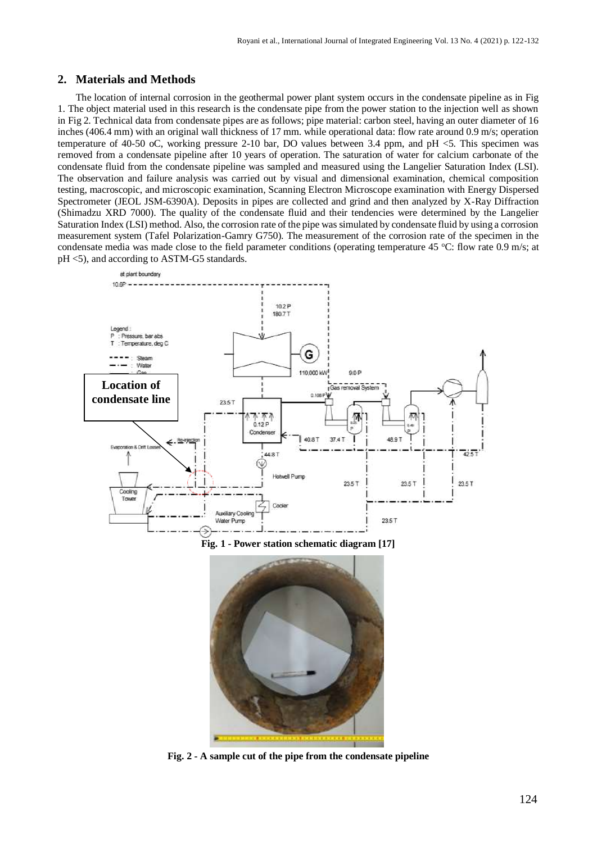### **2. Materials and Methods**

The location of internal corrosion in the geothermal power plant system occurs in the condensate pipeline as in Fig 1. The object material used in this research is the condensate pipe from the power station to the injection well as shown in Fig 2. Technical data from condensate pipes are as follows; pipe material: carbon steel, having an outer diameter of 16 inches (406.4 mm) with an original wall thickness of 17 mm. while operational data: flow rate around 0.9 m/s; operation temperature of 40-50 oC, working pressure 2-10 bar, DO values between 3.4 ppm, and pH <5. This specimen was removed from a condensate pipeline after 10 years of operation. The saturation of water for calcium carbonate of the condensate fluid from the condensate pipeline was sampled and measured using the Langelier Saturation Index (LSI). The observation and failure analysis was carried out by visual and dimensional examination, chemical composition testing, macroscopic, and microscopic examination, Scanning Electron Microscope examination with Energy Dispersed Spectrometer (JEOL JSM-6390A). Deposits in pipes are collected and grind and then analyzed by X-Ray Diffraction (Shimadzu XRD 7000). The quality of the condensate fluid and their tendencies were determined by the Langelier Saturation Index (LSI) method. Also, the corrosion rate of the pipe was simulated by condensate fluid by using a corrosion measurement system (Tafel Polarization-Gamry G750). The measurement of the corrosion rate of the specimen in the condensate media was made close to the field parameter conditions (operating temperature 45  $^{\circ}$ C: flow rate 0.9 m/s; at pH <5), and according to ASTM-G5 standards.



**Fig. 2 - A sample cut of the pipe from the condensate pipeline**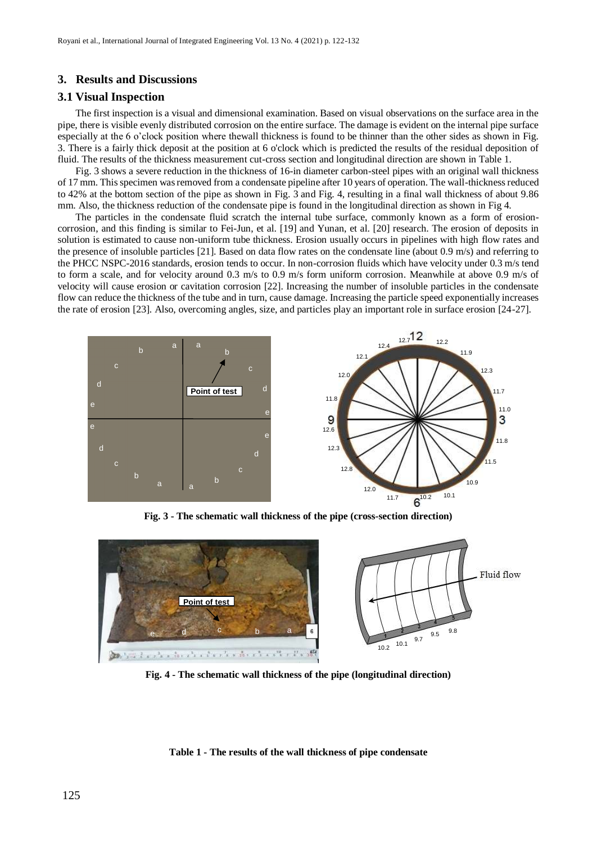#### **3. Results and Discussions**

#### **3.1 Visual Inspection**

The first inspection is a visual and dimensional examination. Based on visual observations on the surface area in the pipe, there is visible evenly distributed corrosion on the entire surface. The damage is evident on the internal pipe surface especially at the 6 o'clock position where thewall thickness is found to be thinner than the other sides as shown in Fig. 3. There is a fairly thick deposit at the position at 6 o'clock which is predicted the results of the residual deposition of fluid. The results of the thickness measurement cut-cross section and longitudinal direction are shown in Table 1.

Fig. 3 shows a severe reduction in the thickness of 16-in diameter carbon-steel pipes with an original wall thickness of 17 mm. This specimen was removed from a condensate pipeline after 10 years of operation. The wall-thickness reduced to 42% at the bottom section of the pipe as shown in Fig. 3 and Fig. 4, resulting in a final wall thickness of about 9.86 mm. Also, the thickness reduction of the condensate pipe is found in the longitudinal direction as shown in Fig 4.

The particles in the condensate fluid scratch the internal tube surface, commonly known as a form of erosioncorrosion, and this finding is similar to Fei-Jun, et al. [19] and Yunan, et al. [20] research. The erosion of deposits in solution is estimated to cause non-uniform tube thickness. Erosion usually occurs in pipelines with high flow rates and the presence of insoluble particles [21]. Based on data flow rates on the condensate line (about 0.9 m/s) and referring to the PHCC NSPC-2016 standards, erosion tends to occur. In non-corrosion fluids which have velocity under 0.3 m/s tend to form a scale, and for velocity around 0.3 m/s to 0.9 m/s form uniform corrosion. Meanwhile at above 0.9 m/s of velocity will cause erosion or cavitation corrosion [22]. Increasing the number of insoluble particles in the condensate flow can reduce the thickness of the tube and in turn, cause damage. Increasing the particle speed exponentially increases the rate of erosion [23]. Also, overcoming angles, size, and particles play an important role in surface erosion [24-27].



**Fig. 3 - The schematic wall thickness of the pipe (cross-section direction)**



**Fig. 4 - The schematic wall thickness of the pipe (longitudinal direction)**

#### **Table 1 - The results of the wall thickness of pipe condensate**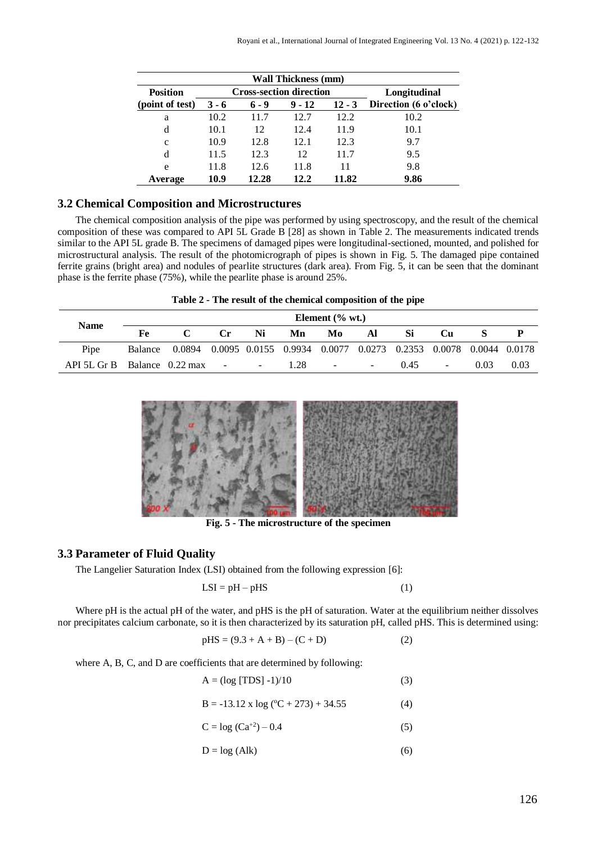| <b>Wall Thickness (mm)</b> |         |                                |              |          |                       |  |  |  |  |  |
|----------------------------|---------|--------------------------------|--------------|----------|-----------------------|--|--|--|--|--|
| <b>Position</b>            |         | <b>Cross-section direction</b> | Longitudinal |          |                       |  |  |  |  |  |
| (point of test)            | $3 - 6$ | $6 - 9$                        | $9 - 12$     | $12 - 3$ | Direction (6 o'clock) |  |  |  |  |  |
| a                          | 10.2    | 11.7                           | 12.7         | 12.2     | 10.2                  |  |  |  |  |  |
| d                          | 10.1    | 12                             | 12.4         | 11.9     | 10.1                  |  |  |  |  |  |
| $\mathbf c$                | 10.9    | 12.8                           | 12.1         | 12.3     | 9.7                   |  |  |  |  |  |
| d                          | 11.5    | 12.3                           | 12           | 11.7     | 9.5                   |  |  |  |  |  |
| e                          | 11.8    | 12.6                           | 11.8         | 11       | 9.8                   |  |  |  |  |  |
| Average                    | 10.9    | 12.28                          | 12.2         | 11.82    | 9.86                  |  |  |  |  |  |

## **3.2 Chemical Composition and Microstructures**

The chemical composition analysis of the pipe was performed by using spectroscopy, and the result of the chemical composition of these was compared to API 5L Grade B [28] as shown in Table 2. The measurements indicated trends similar to the API 5L grade B. The specimens of damaged pipes were longitudinal-sectioned, mounted, and polished for microstructural analysis. The result of the photomicrograph of pipes is shown in Fig. 5. The damaged pipe contained ferrite grains (bright area) and nodules of pearlite structures (dark area). From Fig. 5, it can be seen that the dominant phase is the ferrite phase (75%), while the pearlite phase is around 25%.

| Table 2 - The result of the chemical composition of the pipe |  |  |  |  |  |  |  |  |  |  |
|--------------------------------------------------------------|--|--|--|--|--|--|--|--|--|--|
|--------------------------------------------------------------|--|--|--|--|--|--|--|--|--|--|

|                                        | Element $(\%$ wt.) |                                                                               |                |                               |      |                               |    |      |                          |      |      |
|----------------------------------------|--------------------|-------------------------------------------------------------------------------|----------------|-------------------------------|------|-------------------------------|----|------|--------------------------|------|------|
| <b>Name</b>                            | Fe.                |                                                                               | $\mathbf{C}$ r | Ni                            | Mn   | Mo                            | Al | Si   | $\mathbf{C}$             |      |      |
| Pipe                                   |                    | Balance 0.0894 0.0095 0.0155 0.9934 0.0077 0.0273 0.2353 0.0078 0.0044 0.0178 |                |                               |      |                               |    |      |                          |      |      |
| API 5L Gr B Balance $0.22 \text{ max}$ |                    |                                                                               |                | the control of the control of | 1.28 | and the state of the state of |    | 0.45 | $\overline{\phantom{a}}$ | 0.03 | 0.03 |



**Fig. 5 - The microstructure of the specimen**

#### **3.3 Parameter of Fluid Quality**

The Langelier Saturation Index (LSI) obtained from the following expression [6]:

$$
LSI = pH - pHS \tag{1}
$$

Where pH is the actual pH of the water, and pHS is the pH of saturation. Water at the equilibrium neither dissolves nor precipitates calcium carbonate, so it is then characterized by its saturation pH, called pHS. This is determined using:

$$
pHS = (9.3 + A + B) - (C + D)
$$
 (2)

where A, B, C, and D are coefficients that are determined by following:

$$
A = (\log [TDS] - 1)/10
$$
 (3)

$$
B = -13.12 \times \log (°C + 273) + 34.55 \tag{4}
$$

$$
C = \log (Ca^{+2}) - 0.4
$$
 (5)

$$
D = \log (Alk) \tag{6}
$$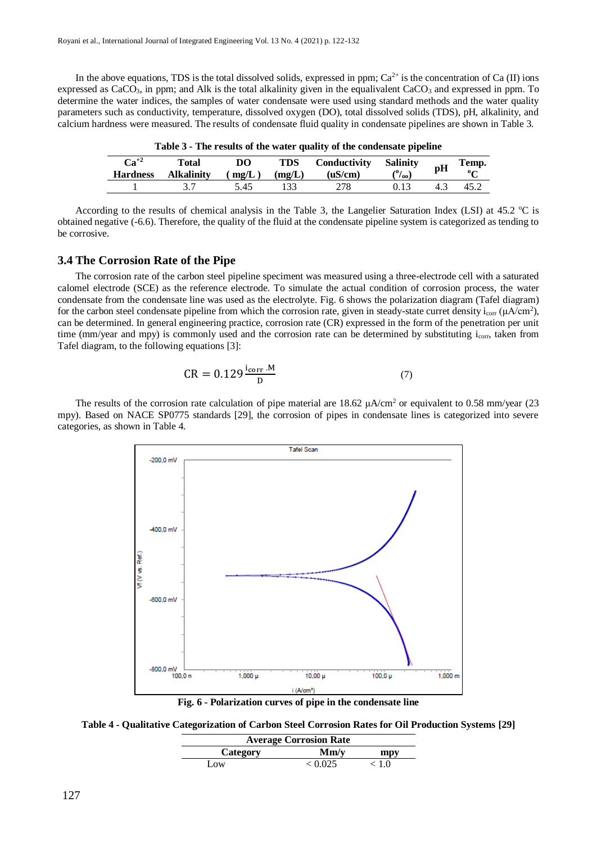In the above equations, TDS is the total dissolved solids, expressed in ppm;  $Ca^{2+}$  is the concentration of Ca (II) ions expressed as  $CaCO<sub>3</sub>$ , in ppm; and Alk is the total alkalinity given in the equalivalent  $CaCO<sub>3</sub>$  and expressed in ppm. To determine the water indices, the samples of water condensate were used using standard methods and the water quality parameters such as conductivity, temperature, dissolved oxygen (DO), total dissolved solids (TDS), pH, alkalinity, and calcium hardness were measured. The results of condensate fluid quality in condensate pipelines are shown in Table 3.

| $Ca^{+2}$<br><b>Hardness</b> | Total<br><b>Alkalinity</b> | DO<br>(mg/L) | <b>TDS</b><br>(mg/L) | <b>Conductivity Salinity</b><br>(uS/cm) | $\frac{(0)}{00}$ | pH | Temp. |  |  |  |  |  |
|------------------------------|----------------------------|--------------|----------------------|-----------------------------------------|------------------|----|-------|--|--|--|--|--|
|                              |                            | 5.45         | 133                  |                                         | 0.13             |    | 45.2  |  |  |  |  |  |

**Table 3 - The results of the water quality of the condensate pipeline**

According to the results of chemical analysis in the Table 3, the Langelier Saturation Index (LSI) at  $45.2 \text{ °C}$  is obtained negative (-6.6). Therefore, the quality of the fluid at the condensate pipeline system is categorized as tending to be corrosive.

# **3.4 The Corrosion Rate of the Pipe**

The corrosion rate of the carbon steel pipeline speciment was measured using a three-electrode cell with a saturated calomel electrode (SCE) as the reference electrode. To simulate the actual condition of corrosion process, the water condensate from the condensate line was used as the electrolyte. Fig. 6 shows the polarization diagram (Tafel diagram) for the carbon steel condensate pipeline from which the corrosion rate, given in steady-state curret density  $i_{corr} (\mu A/cm^2)$ , can be determined. In general engineering practice, corrosion rate (CR) expressed in the form of the penetration per unit time (mm/year and mpy) is commonly used and the corrosion rate can be determined by substituting i<sub>corr</sub>, taken from Tafel diagram, to the following equations [3]:

$$
CR = 0.129 \frac{1_{corr} \cdot M}{D} \tag{7}
$$

The results of the corrosion rate calculation of pipe material are  $18.62 \mu A/cm^2$  or equivalent to 0.58 mm/year (23) mpy). Based on NACE SP0775 standards [29], the corrosion of pipes in condensate lines is categorized into severe categories, as shown in Table 4.



**Table 4 - Qualitative Categorization of Carbon Steel Corrosion Rates for Oil Production Systems [29]**

| <b>Average Corrosion Rate</b> |         |       |  |  |  |  |  |  |
|-------------------------------|---------|-------|--|--|--|--|--|--|
| Category                      | Mm/v    | mpy   |  |  |  |  |  |  |
| Low.                          | < 0.025 | < 1.0 |  |  |  |  |  |  |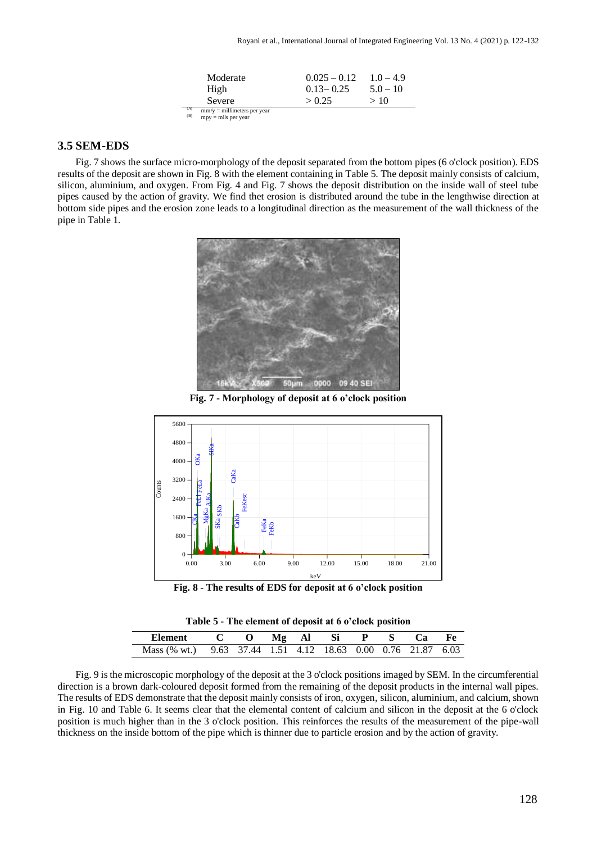| Moderate                      | $0.025 - 0.12$ | $1.0 - 4.9$ |
|-------------------------------|----------------|-------------|
| High                          | $0.13 - 0.25$  | $5.0 - 10$  |
| Severe                        | > 0.25         | >10         |
| $mm/v =$ millimeters ner year |                |             |

(A) mm/y = millimeters per year<br>
(B) mpy = mils per year

# **3.5 SEM-EDS**

Fig. 7 shows the surface micro-morphology of the deposit separated from the bottom pipes (6 o'clock position). EDS results of the deposit are shown in Fig. 8 with the element containing in Table 5. The deposit mainly consists of calcium, silicon, aluminium, and oxygen. From Fig. 4 and Fig. 7 shows the deposit distribution on the inside wall of steel tube pipes caused by the action of gravity. We find thet erosion is distributed around the tube in the lengthwise direction at bottom side pipes and the erosion zone leads to a longitudinal direction as the measurement of the wall thickness of the pipe in Table 1.



**Fig. 7 - Morphology of deposit at 6 o'clock position**



**Fig. 8 - The results of EDS for deposit at 6 o'clock position**



| Element                                                      | C O Mgal Si P S |  |  | Ca Ca | - Fe |
|--------------------------------------------------------------|-----------------|--|--|-------|------|
| Mass (% wt.) 9.63 37.44 1.51 4.12 18.63 0.00 0.76 21.87 6.03 |                 |  |  |       |      |

Fig. 9 is the microscopic morphology of the deposit at the 3 o'clock positions imaged by SEM. In the circumferential direction is a brown dark-coloured deposit formed from the remaining of the deposit products in the internal wall pipes. The results of EDS demonstrate that the deposit mainly consists of iron, oxygen, silicon, aluminium, and calcium, shown in Fig. 10 and Table 6. It seems clear that the elemental content of calcium and silicon in the deposit at the 6 o'clock position is much higher than in the 3 o'clock position. This reinforces the results of the measurement of the pipe-wall thickness on the inside bottom of the pipe which is thinner due to particle erosion and by the action of gravity.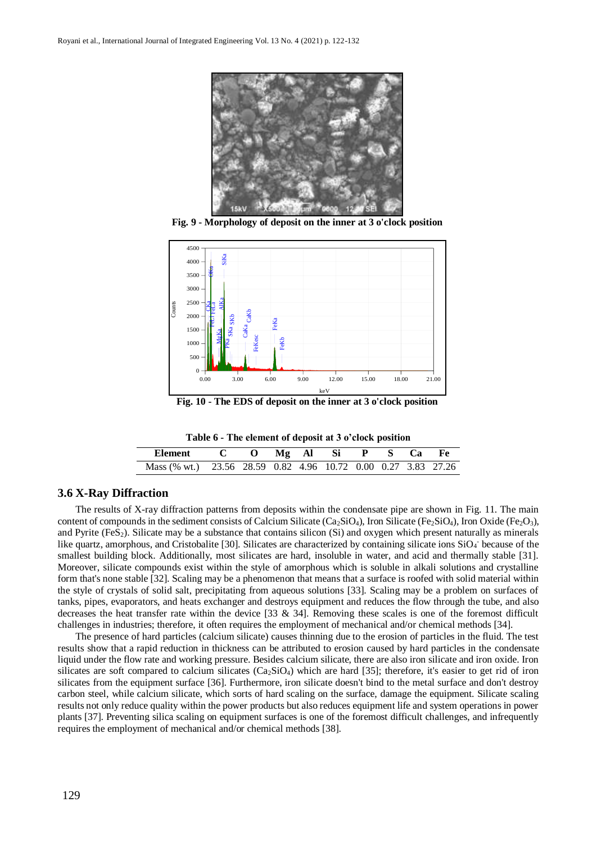

**Fig. 9 - Morphology of deposit on the inner at 3 o'clock position**



**Fig. 10 - The EDS of deposit on the inner at 3 o'clock position**

|  | Table 6 - The element of deposit at 3 o'clock position |  |  |
|--|--------------------------------------------------------|--|--|
|--|--------------------------------------------------------|--|--|

| Element C O Mg Al Si P S Ca Fe                                |  |  |  |  |  |
|---------------------------------------------------------------|--|--|--|--|--|
| Mass (% wt.) 23.56 28.59 0.82 4.96 10.72 0.00 0.27 3.83 27.26 |  |  |  |  |  |

#### **3.6 X-Ray Diffraction**

The results of X-ray diffraction patterns from deposits within the condensate pipe are shown in Fig. 11. The main content of compounds in the sediment consists of Calcium Silicate ( $Ca_2SiO<sub>4</sub>$ ), Iron Silicate (Fe<sub>2</sub>SiO<sub>4</sub>), Iron Oxide (Fe<sub>2</sub>O<sub>3</sub>), and Pyrite  $(F \epsilon S_2)$ . Silicate may be a substance that contains silicon  $(S_i)$  and oxygen which present naturally as minerals like quartz, amorphous, and Cristobalite [30]. Silicates are characterized by containing silicate ions SiO<sub>4</sub> because of the smallest building block. Additionally, most silicates are hard, insoluble in water, and acid and thermally stable [31]. Moreover, silicate compounds exist within the style of amorphous which is soluble in alkali solutions and crystalline form that's none stable [32]. Scaling may be a phenomenon that means that a surface is roofed with solid material within the style of crystals of solid salt, precipitating from aqueous solutions [33]. Scaling may be a problem on surfaces of tanks, pipes, evaporators, and heats exchanger and destroys equipment and reduces the flow through the tube, and also decreases the heat transfer rate within the device  $[33 \& 34]$ . Removing these scales is one of the foremost difficult challenges in industries; therefore, it often requires the employment of mechanical and/or chemical methods [34].

The presence of hard particles (calcium silicate) causes thinning due to the erosion of particles in the fluid. The test results show that a rapid reduction in thickness can be attributed to erosion caused by hard particles in the condensate liquid under the flow rate and working pressure. Besides calcium silicate, there are also iron silicate and iron oxide. Iron silicates are soft compared to calcium silicates  $(Ca_2SiO_4)$  which are hard [35]; therefore, it's easier to get rid of iron silicates from the equipment surface [36]. Furthermore, iron silicate doesn't bind to the metal surface and don't destroy carbon steel, while calcium silicate, which sorts of hard scaling on the surface, damage the equipment. Silicate scaling results not only reduce quality within the power products but also reduces equipment life and system operations in power plants [37]. Preventing silica scaling on equipment surfaces is one of the foremost difficult challenges, and infrequently requires the employment of mechanical and/or chemical methods [38].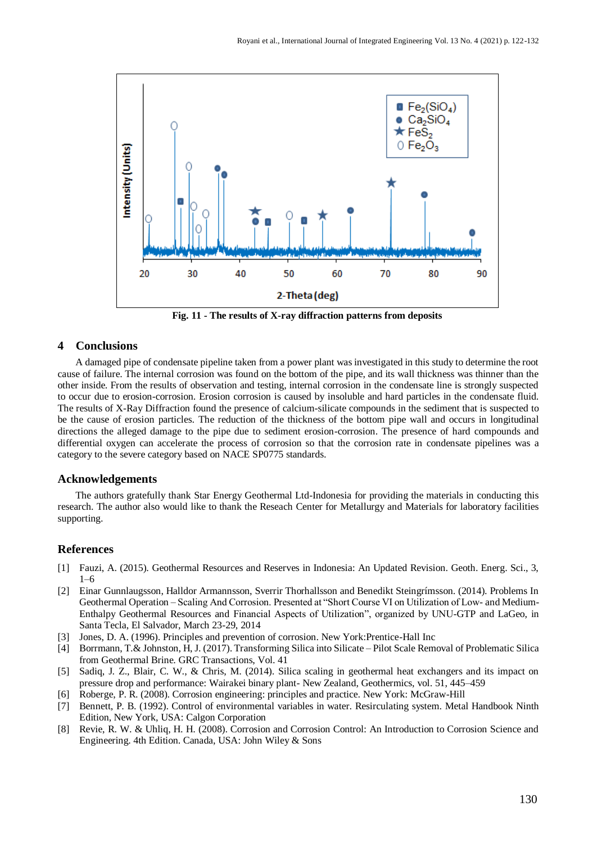

**Fig. 11 - The results of X-ray diffraction patterns from deposits**

#### **4 Conclusions**

A damaged pipe of condensate pipeline taken from a power plant was investigated in this study to determine the root cause of failure. The internal corrosion was found on the bottom of the pipe, and its wall thickness was thinner than the other inside. From the results of observation and testing, internal corrosion in the condensate line is strongly suspected to occur due to erosion-corrosion. Erosion corrosion is caused by insoluble and hard particles in the condensate fluid. The results of X-Ray Diffraction found the presence of calcium-silicate compounds in the sediment that is suspected to be the cause of erosion particles. The reduction of the thickness of the bottom pipe wall and occurs in longitudinal directions the alleged damage to the pipe due to sediment erosion-corrosion. The presence of hard compounds and differential oxygen can accelerate the process of corrosion so that the corrosion rate in condensate pipelines was a category to the severe category based on NACE SP0775 standards.

#### **Acknowledgements**

The authors gratefully thank Star Energy Geothermal Ltd-Indonesia for providing the materials in conducting this research. The author also would like to thank the Reseach Center for Metallurgy and Materials for laboratory facilities supporting.

#### **References**

- [1] Fauzi, A. (2015). Geothermal Resources and Reserves in Indonesia: An Updated Revision. Geoth. Energ. Sci., 3, 1–6
- [2] Einar Gunnlaugsson, Halldor Armannsson, Sverrir Thorhallsson and Benedikt Steingrímsson. (2014). Problems In Geothermal Operation – Scaling And Corrosion. Presented at "Short Course VI on Utilization of Low- and Medium-Enthalpy Geothermal Resources and Financial Aspects of Utilization", organized by UNU-GTP and LaGeo, in Santa Tecla, El Salvador, March 23-29, 2014
- [3] Jones, D. A. (1996). Principles and prevention of corrosion. New York:Prentice-Hall Inc
- [4] Borrmann, T.& Johnston, H, J. (2017). Transforming Silica into Silicate Pilot Scale Removal of Problematic Silica from Geothermal Brine. GRC Transactions, Vol. 41
- [5] Sadiq, J. Z., Blair, C. W., & Chris, M. (2014). Silica scaling in geothermal heat exchangers and its impact on pressure drop and performance: Wairakei binary plant- New Zealand, Geothermics, vol. 51, 445–459
- [6] Roberge, P. R. (2008). Corrosion engineering: principles and practice. New York: McGraw-Hill
- [7] Bennett, P. B. (1992). Control of environmental variables in water. Resirculating system. Metal Handbook Ninth Edition, New York, USA: Calgon Corporation
- [8] Revie, R. W. & Uhliq, H. H. (2008). Corrosion and Corrosion Control: An Introduction to Corrosion Science and Engineering. 4th Edition. Canada, USA: John Wiley & Sons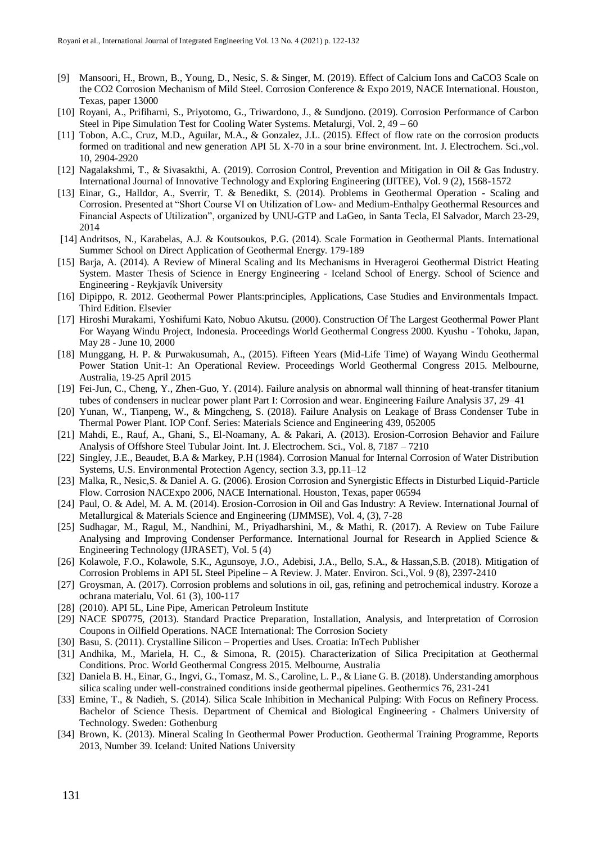- [9] Mansoori, H., Brown, B., Young, D., Nesic, S. & Singer, M. (2019). Effect of Calcium Ions and CaCO3 Scale on the CO2 Corrosion Mechanism of Mild Steel. Corrosion Conference & Expo 2019, NACE International. Houston, Texas, paper 13000
- [10] Royani, A., Prifiharni, S., Priyotomo, G., Triwardono, J., & Sundjono. (2019). Corrosion Performance of Carbon Steel in Pipe Simulation Test for Cooling Water Systems. Metalurgi, Vol. 2, 49 – 60
- [11] Tobon, A.C., Cruz, M.D., Aguilar, M.A., & Gonzalez, J.L. (2015). Effect of flow rate on the corrosion products formed on traditional and new generation API 5L X-70 in a sour brine environment. Int. J. Electrochem. Sci.,vol. 10, 2904-2920
- [12] Nagalakshmi, T., & Sivasakthi, A. (2019). Corrosion Control, Prevention and Mitigation in Oil & Gas Industry. International Journal of Innovative Technology and Exploring Engineering (IJITEE), Vol. 9 (2), 1568-1572
- [13] Einar, G., Halldor, A., Sverrir, T. & Benedikt, S. (2014). Problems in Geothermal Operation Scaling and Corrosion. Presented at "Short Course VI on Utilization of Low- and Medium-Enthalpy Geothermal Resources and Financial Aspects of Utilization", organized by UNU-GTP and LaGeo, in Santa Tecla, El Salvador, March 23-29, 2014
- [14] Andritsos, N., Karabelas, A.J. & Koutsoukos, P.G. (2014). Scale Formation in Geothermal Plants. International Summer School on Direct Application of Geothermal Energy. 179-189
- [15] Barja, A. (2014). A Review of Mineral Scaling and Its Mechanisms in Hverageroi Geothermal District Heating System. Master Thesis of Science in Energy Engineering - Iceland School of Energy. School of Science and Engineering - Reykjavík University
- [16] Dipippo, R. 2012. Geothermal Power Plants:principles, Applications, Case Studies and Environmentals Impact. Third Edition. Elsevier
- [17] Hiroshi Murakami, Yoshifumi Kato, Nobuo Akutsu. (2000). Construction Of The Largest Geothermal Power Plant For Wayang Windu Project, Indonesia. Proceedings World Geothermal Congress 2000. Kyushu - Tohoku, Japan, May 28 - June 10, 2000
- [18] Munggang, H. P. & Purwakusumah, A., (2015). Fifteen Years (Mid-Life Time) of Wayang Windu Geothermal Power Station Unit-1: An Operational Review. Proceedings World Geothermal Congress 2015. Melbourne, Australia, 19-25 April 2015
- [19] Fei-Jun, C., Cheng, Y., Zhen-Guo, Y. (2014). Failure analysis on abnormal wall thinning of heat-transfer titanium tubes of condensers in nuclear power plant Part I: Corrosion and wear. Engineering Failure Analysis 37, 29–41
- [20] Yunan, W., Tianpeng, W., & Mingcheng, S. (2018). Failure Analysis on Leakage of Brass Condenser Tube in Thermal Power Plant. IOP Conf. Series: Materials Science and Engineering 439, 052005
- [21] Mahdi, E., Rauf, A., Ghani, S., El-Noamany, A. & Pakari, A. (2013). Erosion-Corrosion Behavior and Failure Analysis of Offshore Steel Tubular Joint. Int. J. Electrochem. Sci., Vol. 8, 7187 – 7210
- [22] Singley, J.E., Beaudet, B.A & Markey, P.H (1984). Corrosion Manual for Internal Corrosion of Water Distribution Systems, U.S. Environmental Protection Agency, section 3.3, pp.11–12
- [23] Malka, R., Nesic,S. & Daniel A. G. (2006). Erosion Corrosion and Synergistic Effects in Disturbed Liquid-Particle Flow. Corrosion NACExpo 2006, NACE International. Houston, Texas, paper 06594
- [24] Paul, O. & Adel, M. A. M. (2014). Erosion-Corrosion in Oil and Gas Industry: A Review. International Journal of Metallurgical & Materials Science and Engineering (IJMMSE), Vol. 4, (3), 7-28
- [25] Sudhagar, M., Ragul, M., Nandhini, M., Priyadharshini, M., & Mathi, R. (2017). A Review on Tube Failure Analysing and Improving Condenser Performance. International Journal for Research in Applied Science & Engineering Technology (IJRASET), Vol. 5 (4)
- [26] Kolawole, F.O., Kolawole, S.K., Agunsoye, J.O., Adebisi, J.A., Bello, S.A., & Hassan,S.B. (2018). Mitigation of Corrosion Problems in API 5L Steel Pipeline – A Review. J. Mater. Environ. Sci.,Vol. 9 (8), 2397-2410
- [27] Groysman, A. (2017). Corrosion problems and solutions in oil, gas, refining and petrochemical industry. Koroze a ochrana materialu, Vol. 61 (3), 100-117
- [28] (2010). API 5L, Line Pipe, American Petroleum Institute
- [29] NACE SP0775, (2013). Standard Practice Preparation, Installation, Analysis, and Interpretation of Corrosion Coupons in Oilfield Operations. NACE International: The Corrosion Society
- [30] Basu, S. (2011). Crystalline Silicon Properties and Uses. Croatia: InTech Publisher
- [31] Andhika, M., Mariela, H. C., & Simona, R. (2015). Characterization of Silica Precipitation at Geothermal Conditions. Proc. World Geothermal Congress 2015. Melbourne, Australia
- [32] Daniela B. H., Einar, G., Ingvi, G., Tomasz, M. S., Caroline, L. P., & Liane G. B. (2018). Understanding amorphous silica scaling under well-constrained conditions inside geothermal pipelines. Geothermics 76, 231-241
- [33] Emine, T., & Nadieh, S. (2014). Silica Scale Inhibition in Mechanical Pulping: With Focus on Refinery Process. Bachelor of Science Thesis. Department of Chemical and Biological Engineering - Chalmers University of Technology. Sweden: Gothenburg
- [34] Brown, K. (2013). Mineral Scaling In Geothermal Power Production. Geothermal Training Programme, Reports 2013, Number 39. Iceland: United Nations University